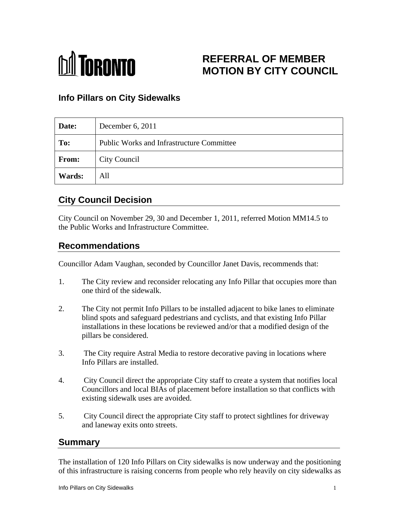

# **REFERRAL OF MEMBER MOTION BY CITY COUNCIL**

## **Info Pillars on City Sidewalks**

| Date:         | December 6, 2011                                 |
|---------------|--------------------------------------------------|
| To:           | <b>Public Works and Infrastructure Committee</b> |
| From:         | <b>City Council</b>                              |
| <b>Wards:</b> | All                                              |

# **City Council Decision**

City Council on November 29, 30 and December 1, 2011, referred Motion MM14.5 to the Public Works and Infrastructure Committee.

### **Recommendations**

Councillor Adam Vaughan, seconded by Councillor Janet Davis, recommends that:

- 1. The City review and reconsider relocating any Info Pillar that occupies more than one third of the sidewalk.
- 2. The City not permit Info Pillars to be installed adjacent to bike lanes to eliminate blind spots and safeguard pedestrians and cyclists, and that existing Info Pillar installations in these locations be reviewed and/or that a modified design of the pillars be considered.
- 3. The City require Astral Media to restore decorative paving in locations where Info Pillars are installed.
- 4. City Council direct the appropriate City staff to create a system that notifies local Councillors and local BIAs of placement before installation so that conflicts with existing sidewalk uses are avoided.
- 5. City Council direct the appropriate City staff to protect sightlines for driveway and laneway exits onto streets.

#### **Summary**

The installation of 120 Info Pillars on City sidewalks is now underway and the positioning of this infrastructure is raising concerns from people who rely heavily on city sidewalks as